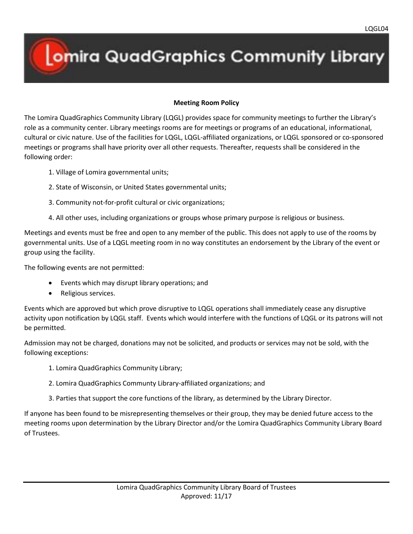# **Omira QuadGraphics Community Library**

## **Meeting Room Policy**

The Lomira QuadGraphics Community Library (LQGL) provides space for community meetings to further the Library's role as a community center. Library meetings rooms are for meetings or programs of an educational, informational, cultural or civic nature. Use of the facilities for LQGL, LQGL-affiliated organizations, or LQGL sponsored or co-sponsored meetings or programs shall have priority over all other requests. Thereafter, requests shall be considered in the following order:

- 1. Village of Lomira governmental units;
- 2. State of Wisconsin, or United States governmental units;
- 3. Community not-for-profit cultural or civic organizations;
- 4. All other uses, including organizations or groups whose primary purpose is religious or business.

Meetings and events must be free and open to any member of the public. This does not apply to use of the rooms by governmental units. Use of a LQGL meeting room in no way constitutes an endorsement by the Library of the event or group using the facility.

The following events are not permitted:

- Events which may disrupt library operations; and
- Religious services.

Events which are approved but which prove disruptive to LQGL operations shall immediately cease any disruptive activity upon notification by LQGL staff. Events which would interfere with the functions of LQGL or its patrons will not be permitted.

Admission may not be charged, donations may not be solicited, and products or services may not be sold, with the following exceptions:

- 1. Lomira QuadGraphics Community Library;
- 2. Lomira QuadGraphics Communty Library-affiliated organizations; and
- 3. Parties that support the core functions of the library, as determined by the Library Director.

If anyone has been found to be misrepresenting themselves or their group, they may be denied future access to the meeting rooms upon determination by the Library Director and/or the Lomira QuadGraphics Community Library Board of Trustees.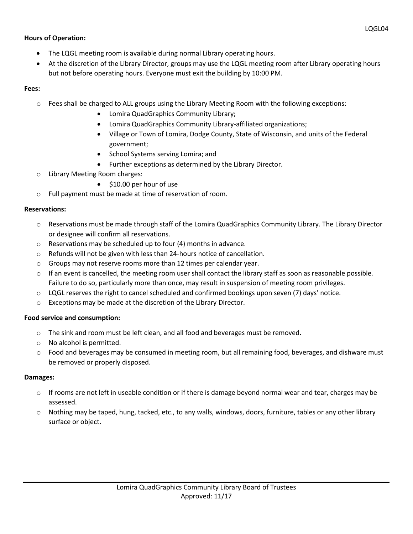## **Hours of Operation:**

- The LQGL meeting room is available during normal Library operating hours.
- At the discretion of the Library Director, groups may use the LQGL meeting room after Library operating hours but not before operating hours. Everyone must exit the building by 10:00 PM.

## **Fees:**

- o Fees shall be charged to ALL groups using the Library Meeting Room with the following exceptions:
	- Lomira QuadGraphics Community Library;
	- Lomira QuadGraphics Community Library-affiliated organizations;
	- Village or Town of Lomira, Dodge County, State of Wisconsin, and units of the Federal government;
	- School Systems serving Lomira; and
	- Further exceptions as determined by the Library Director.
- o Library Meeting Room charges:
	- \$10.00 per hour of use
- o Full payment must be made at time of reservation of room.

#### **Reservations:**

- $\circ$  Reservations must be made through staff of the Lomira QuadGraphics Community Library. The Library Director or designee will confirm all reservations.
- o Reservations may be scheduled up to four (4) months in advance.
- o Refunds will not be given with less than 24-hours notice of cancellation.
- o Groups may not reserve rooms more than 12 times per calendar year.
- $\circ$  If an event is cancelled, the meeting room user shall contact the library staff as soon as reasonable possible. Failure to do so, particularly more than once, may result in suspension of meeting room privileges.
- o LQGL reserves the right to cancel scheduled and confirmed bookings upon seven (7) days' notice.
- o Exceptions may be made at the discretion of the Library Director.

#### **Food service and consumption:**

- o The sink and room must be left clean, and all food and beverages must be removed.
- o No alcohol is permitted.
- o Food and beverages may be consumed in meeting room, but all remaining food, beverages, and dishware must be removed or properly disposed.

#### **Damages:**

- $\circ$  If rooms are not left in useable condition or if there is damage beyond normal wear and tear, charges may be assessed.
- o Nothing may be taped, hung, tacked, etc., to any walls, windows, doors, furniture, tables or any other library surface or object.